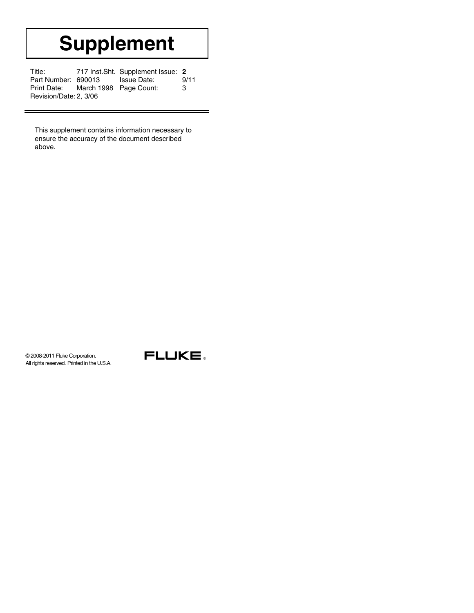# **Supplement**

| Title:                             |  | 717 Inst. Sht. Supplement Issue: 2 |      |  |  |
|------------------------------------|--|------------------------------------|------|--|--|
| Part Number: 690013                |  | Issue Date:                        | 9/11 |  |  |
| Print Date: March 1998 Page Count: |  |                                    | 3    |  |  |
| Revision/Date: 2, 3/06             |  |                                    |      |  |  |

This supplement contains information necessary to ensure the accuracy of the document described above.

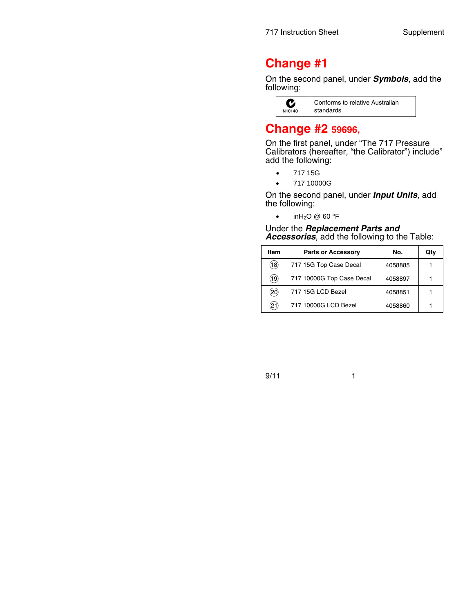## **Change #1**

On the second panel, under *Symbols*, add the following:



## **Change #2 59696,**

On the first panel, under "The 717 Pressure Calibrators (hereafter, "the Calibrator") include" add the following:

- 717 15G
- 717 10000G

On the second panel, under *Input Units*, add the following:

inH<sub>2</sub>O @ 60 °F

Under the *Replacement Parts and Accessories*, add the following to the Table:

| Item                | <b>Parts or Accessory</b> | No.     | Qty |
|---------------------|---------------------------|---------|-----|
| (18)                | 717 15G Top Case Decal    | 4058885 |     |
| (19)                | 717 10000G Top Case Decal | 4058897 |     |
| $^{\prime}\!\!.20)$ | 717 15G LCD Bezel         | 4058851 |     |
| 21                  | 717 10000G LCD Bezel      | 4058860 |     |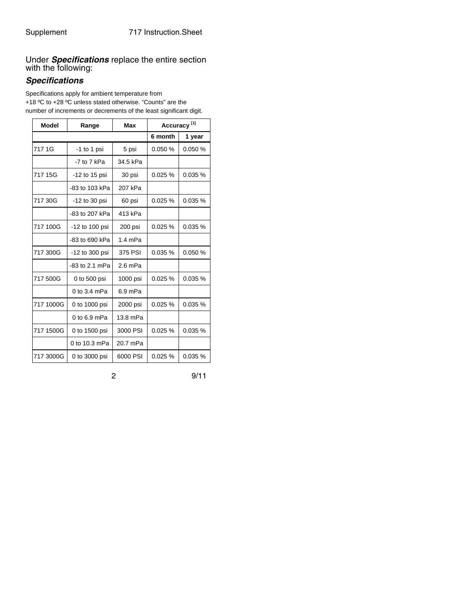Under *Specifications* replace the entire section with the following:

### *Specifications*

Specifications apply for ambient temperature from +18 ºC to +28 ºC unless stated otherwise. "Counts" are the number of increments or decrements of the least significant digit.

| <b>Model</b> | Range          | Max       | Accuracy <sup>[1]</sup> |         |
|--------------|----------------|-----------|-------------------------|---------|
|              |                |           | 6 month                 | 1 year  |
| 717 1G       | $-1$ to 1 psi  | 5 psi     | 0.050%                  | 0.050%  |
|              | -7 to 7 kPa    | 34.5 kPa  |                         |         |
| 717 15G      | -12 to 15 psi  | 30 psi    | 0.025%                  | 0.035%  |
|              | -83 to 103 kPa | 207 kPa   |                         |         |
| 717 30G      | -12 to 30 psi  | 60 psi    | 0.025%                  | 0.035%  |
|              | -83 to 207 kPa | 413 kPa   |                         |         |
| 717 100G     | -12 to 100 psi | 200 psi   | 0.025%                  | 0.035 % |
|              | -83 to 690 kPa | $1.4$ mPa |                         |         |
| 717 300G     | -12 to 300 psi | 375 PSI   | 0.035%                  | 0.050%  |
|              | -83 to 2.1 mPa | $2.6$ mPa |                         |         |
| 717 500G     | 0 to 500 psi   | 1000 psi  | 0.025%                  | 0.035%  |
|              | 0 to 3.4 mPa   | 6.9 mPa   |                         |         |
| 717 1000G    | 0 to 1000 psi  | 2000 psi  | 0.025%                  | 0.035%  |
|              | $0$ to 6.9 mPa | 13.8 mPa  |                         |         |
| 717 1500G    | 0 to 1500 psi  | 3000 PSI  | 0.025%                  | 0.035 % |
|              | 0 to 10.3 mPa  | 20.7 mPa  |                         |         |
| 717 3000G    | 0 to 3000 psi  | 6000 PSI  | 0.025 %                 | 0.035%  |